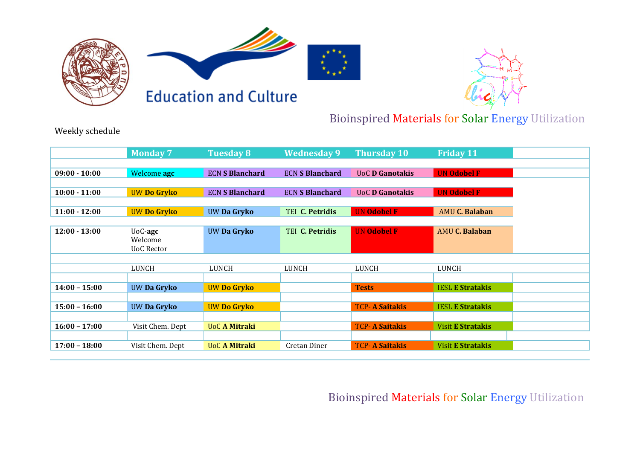





## Bioinspired Materials for Solar Energy Utilization

Weekly schedule

|                 | <b>Monday 7</b>    | <b>Tuesday 8</b>       | <b>Wednesday 9</b>     | <b>Thursday 10</b>     | <b>Friday 11</b>         |
|-----------------|--------------------|------------------------|------------------------|------------------------|--------------------------|
|                 |                    |                        |                        |                        |                          |
|                 |                    |                        |                        |                        |                          |
| $09:00 - 10:00$ | Welcome agc        | <b>ECN S Blanchard</b> | <b>ECN S Blanchard</b> | <b>UoC D Ganotakis</b> | <b>UN Odobel F</b>       |
|                 |                    |                        |                        |                        |                          |
| $10:00 - 11:00$ | <b>UW Do Gryko</b> | <b>ECN S Blanchard</b> | <b>ECN S Blanchard</b> | <b>UoC D Ganotakis</b> | <b>UN Odobel F</b>       |
|                 |                    |                        |                        |                        |                          |
| $11:00 - 12:00$ | <b>UW Do Gryko</b> | UW Da Gryko            | <b>TEI C. Petridis</b> | <b>UN Odobel F</b>     | <b>AMU C. Balaban</b>    |
|                 |                    |                        |                        |                        |                          |
| $12:00 - 13:00$ | $UoC$ -agc         | UW Da Gryko            | <b>TEI C. Petridis</b> | <b>UN Odobel F</b>     | <b>AMU C. Balaban</b>    |
|                 | Welcome            |                        |                        |                        |                          |
|                 | <b>UoC Rector</b>  |                        |                        |                        |                          |
|                 |                    |                        |                        |                        |                          |
|                 |                    |                        |                        |                        |                          |
|                 | LUNCH              | LUNCH                  | LUNCH                  | LUNCH                  | LUNCH                    |
|                 |                    |                        |                        |                        |                          |
| $14:00 - 15:00$ | UW Da Gryko        | <b>UW Do Gryko</b>     |                        | <b>Tests</b>           | <b>IESL E Stratakis</b>  |
|                 |                    |                        |                        |                        |                          |
| $15:00 - 16:00$ | UW Da Gryko        | <b>UW Do Gryko</b>     |                        | <b>TCP- A Saitakis</b> | <b>IESL E Stratakis</b>  |
|                 |                    |                        |                        |                        |                          |
| $16:00 - 17:00$ | Visit Chem. Dept   | <b>UoC A Mitraki</b>   |                        | <b>TCP- A Saitakis</b> | <b>Visit E Stratakis</b> |
|                 |                    |                        |                        |                        |                          |
| $17:00 - 18:00$ | Visit Chem. Dept   | <b>UoC A Mitraki</b>   | Cretan Diner           | <b>TCP-A Saitakis</b>  | <b>Visit E Stratakis</b> |

## Bioinspired Materials for Solar Energy Utilization